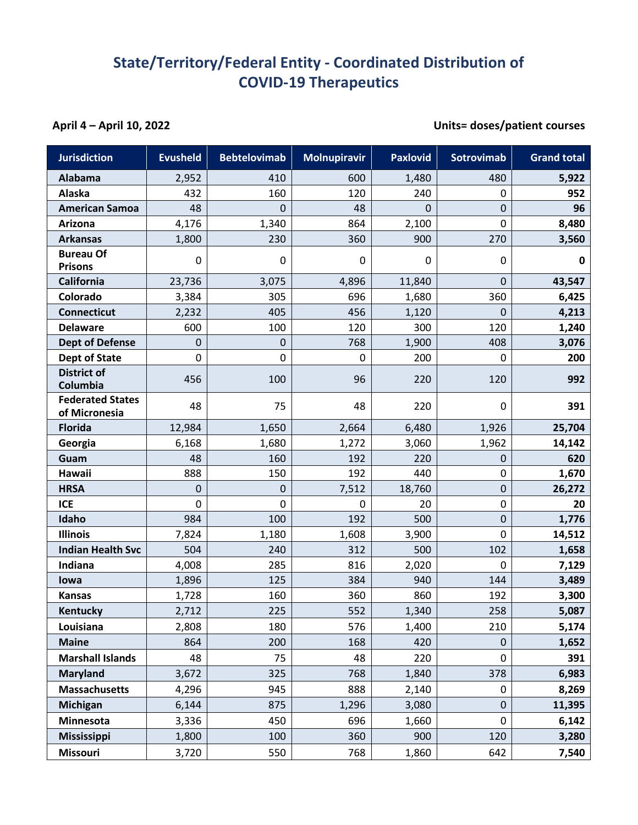## **State/Territory/Federal Entity - Coordinated Distribution of COVID-19 Therapeutics**

## **April 4 – April 10, 2022 Units= doses/patient courses**

| <b>Jurisdiction</b>                      | <b>Evusheld</b> | <b>Bebtelovimab</b> | <b>Molnupiravir</b> | <b>Paxlovid</b> | <b>Sotrovimab</b> | <b>Grand total</b> |
|------------------------------------------|-----------------|---------------------|---------------------|-----------------|-------------------|--------------------|
| Alabama                                  | 2,952           | 410                 | 600                 | 1,480           | 480               | 5,922              |
| Alaska                                   | 432             | 160                 | 120                 | 240             | 0                 | 952                |
| <b>American Samoa</b>                    | 48              | 0                   | 48                  | 0               | 0                 | 96                 |
| Arizona                                  | 4,176           | 1,340               | 864                 | 2,100           | $\mathbf 0$       | 8,480              |
| <b>Arkansas</b>                          | 1,800           | 230                 | 360                 | 900             | 270               | 3,560              |
| <b>Bureau Of</b><br><b>Prisons</b>       | 0               | 0                   | 0                   | 0               | 0                 | 0                  |
| <b>California</b>                        | 23,736          | 3,075               | 4,896               | 11,840          | $\mathbf 0$       | 43,547             |
| Colorado                                 | 3,384           | 305                 | 696                 | 1,680           | 360               | 6,425              |
| <b>Connecticut</b>                       | 2,232           | 405                 | 456                 | 1,120           | 0                 | 4,213              |
| <b>Delaware</b>                          | 600             | 100                 | 120                 | 300             | 120               | 1,240              |
| <b>Dept of Defense</b>                   | $\mathbf 0$     | 0                   | 768                 | 1,900           | 408               | 3,076              |
| <b>Dept of State</b>                     | 0               | 0                   | $\mathbf 0$         | 200             | 0                 | 200                |
| <b>District of</b><br>Columbia           | 456             | 100                 | 96                  | 220             | 120               | 992                |
| <b>Federated States</b><br>of Micronesia | 48              | 75                  | 48                  | 220             | 0                 | 391                |
| <b>Florida</b>                           | 12,984          | 1,650               | 2,664               | 6,480           | 1,926             | 25,704             |
| Georgia                                  | 6,168           | 1,680               | 1,272               | 3,060           | 1,962             | 14,142             |
| Guam                                     | 48              | 160                 | 192                 | 220             | 0                 | 620                |
| Hawaii                                   | 888             | 150                 | 192                 | 440             | $\mathbf 0$       | 1,670              |
| <b>HRSA</b>                              | $\mathbf 0$     | 0                   | 7,512               | 18,760          | 0                 | 26,272             |
| <b>ICE</b>                               | 0               | 0                   | 0                   | 20              | 0                 | 20                 |
| Idaho                                    | 984             | 100                 | 192                 | 500             | 0                 | 1,776              |
| <b>Illinois</b>                          | 7,824           | 1,180               | 1,608               | 3,900           | 0                 | 14,512             |
| <b>Indian Health Svc</b>                 | 504             | 240                 | 312                 | 500             | 102               | 1,658              |
| Indiana                                  | 4,008           | 285                 | 816                 | 2,020           | 0                 | 7,129              |
| lowa                                     | 1,896           | 125                 | 384                 | 940             | 144               | 3,489              |
| <b>Kansas</b>                            | 1,728           | 160                 | 360                 | 860             | 192               | 3,300              |
| <b>Kentucky</b>                          | 2,712           | 225                 | 552                 | 1,340           | 258               | 5,087              |
| Louisiana                                | 2,808           | 180                 | 576                 | 1,400           | 210               | 5,174              |
| <b>Maine</b>                             | 864             | 200                 | 168                 | 420             | $\pmb{0}$         | 1,652              |
| <b>Marshall Islands</b>                  | 48              | 75                  | 48                  | 220             | 0                 | 391                |
| <b>Maryland</b>                          | 3,672           | 325                 | 768                 | 1,840           | 378               | 6,983              |
| <b>Massachusetts</b>                     | 4,296           | 945                 | 888                 | 2,140           | 0                 | 8,269              |
| <b>Michigan</b>                          | 6,144           | 875                 | 1,296               | 3,080           | $\pmb{0}$         | 11,395             |
| Minnesota                                | 3,336           | 450                 | 696                 | 1,660           | 0                 | 6,142              |
| <b>Mississippi</b>                       | 1,800           | 100                 | 360                 | 900             | 120               | 3,280              |
| <b>Missouri</b>                          | 3,720           | 550                 | 768                 | 1,860           | 642               | 7,540              |